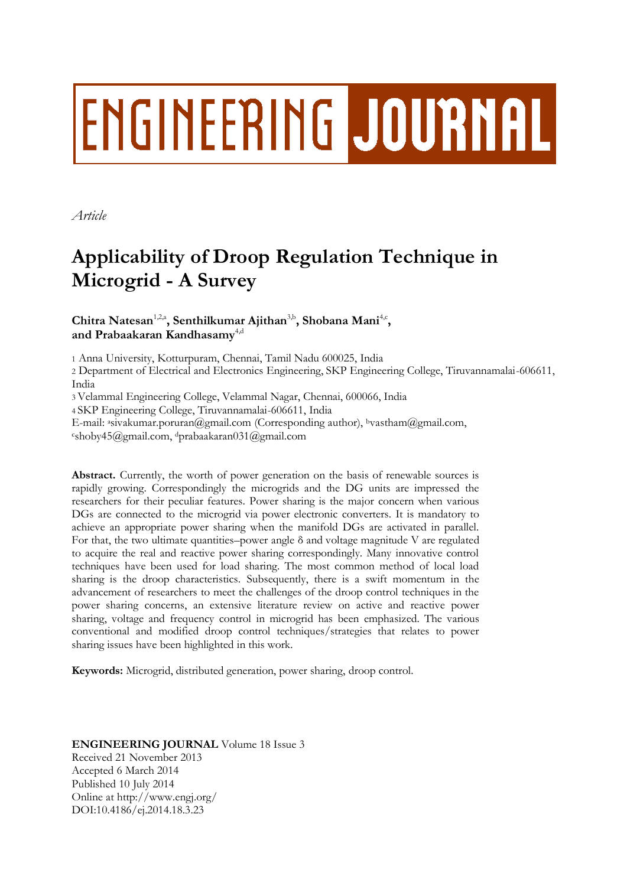# **ENGINEERING JOURNAL**

*Article*

# **Applicability of Droop Regulation Technique in Microgrid - A Survey**

# Chitra Natesan<sup>1,2,a</sup>, Senthilkumar Ajithan<sup>3,b</sup>, Shobana Mani<sup>4,c</sup>, and Prabaakaran Kandhasamy<sup>4,d</sup>

1 Anna University, Kotturpuram, Chennai, Tamil Nadu 600025, India

2 Department of Electrical and Electronics Engineering, SKP Engineering College, Tiruvannamalai-606611, India

3 Velammal Engineering College, Velammal Nagar, Chennai, 600066, India

4 SKP Engineering College, Tiruvannamalai-606611, India

E-mail: asivakumar.poruran@gmail.com (Corresponding author), bvastham@gmail.com, <sup>c</sup>shoby45@gmail.com, <sup>d</sup>prabaakaran031@gmail.com

**Abstract.** Currently, the worth of power generation on the basis of renewable sources is rapidly growing. Correspondingly the microgrids and the DG units are impressed the researchers for their peculiar features. Power sharing is the major concern when various DGs are connected to the microgrid via power electronic converters. It is mandatory to achieve an appropriate power sharing when the manifold DGs are activated in parallel. For that, the two ultimate quantities–power angle  $\delta$  and voltage magnitude V are regulated to acquire the real and reactive power sharing correspondingly. Many innovative control techniques have been used for load sharing. The most common method of local load sharing is the droop characteristics. Subsequently, there is a swift momentum in the advancement of researchers to meet the challenges of the droop control techniques in the power sharing concerns, an extensive literature review on active and reactive power sharing, voltage and frequency control in microgrid has been emphasized. The various conventional and modified droop control techniques/strategies that relates to power sharing issues have been highlighted in this work.

**Keywords:** Microgrid, distributed generation, power sharing, droop control.

# **ENGINEERING JOURNAL** Volume 18 Issue 3 Received 21 November 2013 Accepted 6 March 2014 Published 10 July 2014 Online at http://www.engj.org/ DOI:10.4186/ej.2014.18.3.23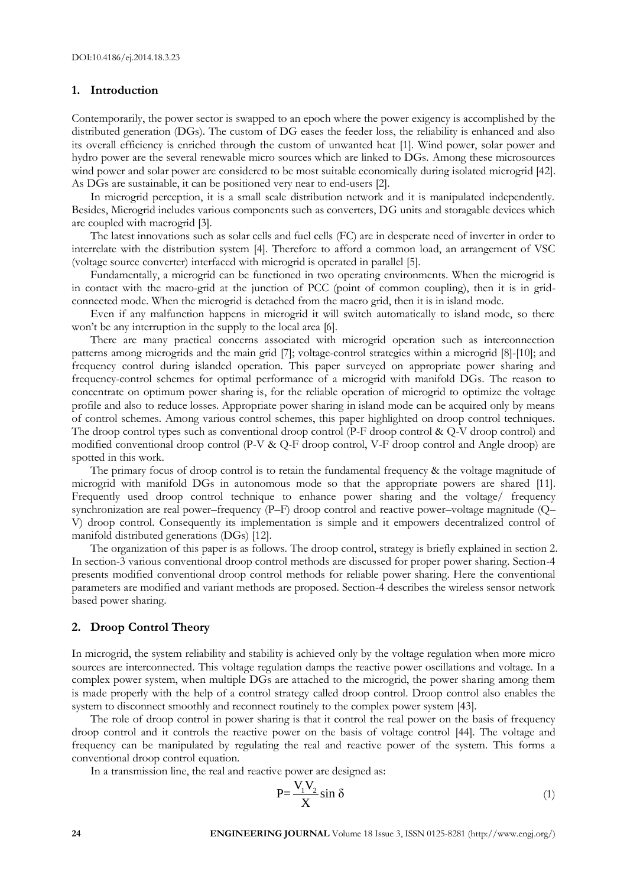#### **1. Introduction**

Contemporarily, the power sector is swapped to an epoch where the power exigency is accomplished by the distributed generation (DGs). The custom of DG eases the feeder loss, the reliability is enhanced and also its overall efficiency is enriched through the custom of unwanted heat [1]. Wind power, solar power and hydro power are the several renewable micro sources which are linked to DGs. Among these microsources wind power and solar power are considered to be most suitable economically during isolated microgrid [42]. As DGs are sustainable, it can be positioned very near to end-users [2].

In microgrid perception, it is a small scale distribution network and it is manipulated independently. Besides, Microgrid includes various components such as converters, DG units and storagable devices which are coupled with macrogrid [3].

The latest innovations such as solar cells and fuel cells (FC) are in desperate need of inverter in order to interrelate with the distribution system [4]. Therefore to afford a common load, an arrangement of VSC (voltage source converter) interfaced with microgrid is operated in parallel [5].

Fundamentally, a microgrid can be functioned in two operating environments. When the microgrid is in contact with the macro-grid at the junction of PCC (point of common coupling), then it is in gridconnected mode. When the microgrid is detached from the macro grid, then it is in island mode.

Even if any malfunction happens in microgrid it will switch automatically to island mode, so there won't be any interruption in the supply to the local area [6].

There are many practical concerns associated with microgrid operation such as interconnection patterns among microgrids and the main grid [7]; voltage-control strategies within a microgrid [8]-[10]; and frequency control during islanded operation. This paper surveyed on appropriate power sharing and frequency-control schemes for optimal performance of a microgrid with manifold DGs. The reason to concentrate on optimum power sharing is, for the reliable operation of microgrid to optimize the voltage profile and also to reduce losses. Appropriate power sharing in island mode can be acquired only by means of control schemes. Among various control schemes, this paper highlighted on droop control techniques. The droop control types such as conventional droop control (P-F droop control & Q-V droop control) and modified conventional droop control (P-V & Q-F droop control, V-F droop control and Angle droop) are spotted in this work.

The primary focus of droop control is to retain the fundamental frequency & the voltage magnitude of microgrid with manifold DGs in autonomous mode so that the appropriate powers are shared [11]. Frequently used droop control technique to enhance power sharing and the voltage/ frequency synchronization are real power–frequency (P–F) droop control and reactive power–voltage magnitude (Q– V) droop control. Consequently its implementation is simple and it empowers decentralized control of manifold distributed generations (DGs) [12].

The organization of this paper is as follows. The droop control, strategy is briefly explained in section 2. In section-3 various conventional droop control methods are discussed for proper power sharing. Section-4 presents modified conventional droop control methods for reliable power sharing. Here the conventional parameters are modified and variant methods are proposed. Section-4 describes the wireless sensor network based power sharing.

#### **2. Droop Control Theory**

In microgrid, the system reliability and stability is achieved only by the voltage regulation when more micro sources are interconnected. This voltage regulation damps the reactive power oscillations and voltage. In a complex power system, when multiple DGs are attached to the microgrid, the power sharing among them is made properly with the help of a control strategy called droop control. Droop control also enables the system to disconnect smoothly and reconnect routinely to the complex power system [43].

The role of droop control in power sharing is that it control the real power on the basis of frequency droop control and it controls the reactive power on the basis of voltage control [44]. The voltage and frequency can be manipulated by regulating the real and reactive power of the system. This forms a conventional droop control equation.

In a transmission line, the real and reactive power are designed as:

$$
P = \frac{V_1 V_2}{X} \sin \delta \tag{1}
$$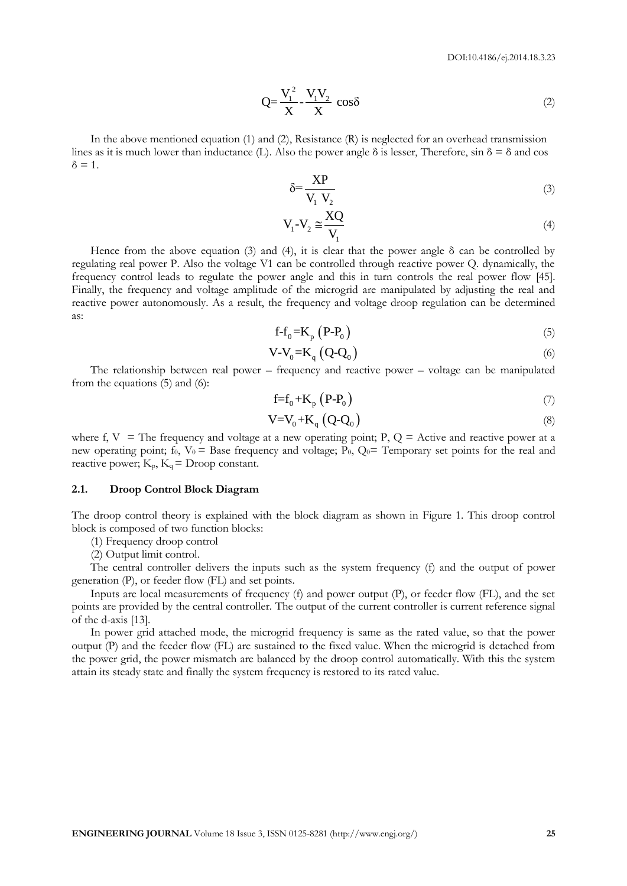$$
Q = \frac{V_1^2}{X} - \frac{V_1 V_2}{X} \cos \delta
$$
 (2)

In the above mentioned equation (1) and (2), Resistance (R) is neglected for an overhead transmission lines as it is much lower than inductance (L). Also the power angle  $\delta$  is lesser, Therefore, sin  $\delta = \delta$  and cos  $\delta = 1$ .

$$
\delta = \frac{XP}{V_1 V_2} \tag{3}
$$

$$
V_1 - V_2 \cong \frac{XQ}{V_1} \tag{4}
$$

Hence from the above equation (3) and (4), it is clear that the power angle  $\delta$  can be controlled by regulating real power P. Also the voltage V1 can be controlled through reactive power Q. dynamically, the frequency control leads to regulate the power angle and this in turn controls the real power flow [45]. Finally, the frequency and voltage amplitude of the microgrid are manipulated by adjusting the real and reactive power autonomously. As a result, the frequency and voltage droop regulation can be determined as:

$$
f - f_0 = K_p \left( P - P_0 \right) \tag{5}
$$

$$
V - V_0 = K_q (Q - Q_0) \tag{6}
$$

The relationship between real power – frequency and reactive power – voltage can be manipulated from the equations (5) and (6):

$$
f=f_0+K_p(P-P_0)
$$
\n<sup>(7)</sup>

$$
V = V_0 + K_q (Q - Q_0) \tag{8}
$$

where f,  $V =$  The frequency and voltage at a new operating point; P,  $Q =$  Active and reactive power at a new operating point;  $f_0$ ,  $V_0$  = Base frequency and voltage;  $P_0$ ,  $Q_0$  = Temporary set points for the real and reactive power;  $K_p$ ,  $K_q$  = Droop constant.

#### **2.1. Droop Control Block Diagram**

The droop control theory is explained with the block diagram as shown in Figure 1. This droop control block is composed of two function blocks:

(1) Frequency droop control

(2) Output limit control.

The central controller delivers the inputs such as the system frequency (f) and the output of power generation (P), or feeder flow (FL) and set points.

Inputs are local measurements of frequency (f) and power output (P), or feeder flow (FL), and the set points are provided by the central controller. The output of the current controller is current reference signal of the d-axis [13].

In power grid attached mode, the microgrid frequency is same as the rated value, so that the power output (P) and the feeder flow (FL) are sustained to the fixed value. When the microgrid is detached from the power grid, the power mismatch are balanced by the droop control automatically. With this the system attain its steady state and finally the system frequency is restored to its rated value.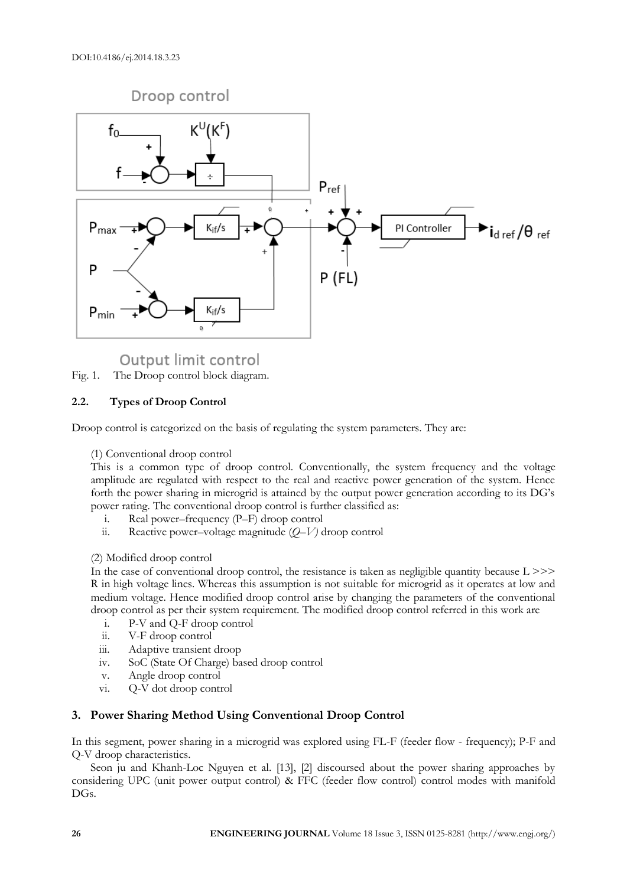

Output limit control

Fig. 1. The Droop control block diagram.

# **2.2. Types of Droop Control**

Droop control is categorized on the basis of regulating the system parameters. They are:

(1) Conventional droop control

This is a common type of droop control. Conventionally, the system frequency and the voltage amplitude are regulated with respect to the real and reactive power generation of the system. Hence forth the power sharing in microgrid is attained by the output power generation according to its DG's power rating. The conventional droop control is further classified as:

- i. Real power–frequency (P–F) droop control
- ii. Reactive power–voltage magnitude (*Q*–*V)* droop control

# (2) Modified droop control

In the case of conventional droop control, the resistance is taken as negligible quantity because  $L \gg$ R in high voltage lines. Whereas this assumption is not suitable for microgrid as it operates at low and medium voltage. Hence modified droop control arise by changing the parameters of the conventional droop control as per their system requirement. The modified droop control referred in this work are

- i. P-V and Q-F droop control
- ii. V-F droop control
- iii. Adaptive transient droop
- iv. SoC (State Of Charge) based droop control
- v. Angle droop control
- vi. Q-V dot droop control

# **3. Power Sharing Method Using Conventional Droop Control**

In this segment, power sharing in a microgrid was explored using FL-F (feeder flow - frequency); P-F and Q-V droop characteristics.

Seon ju and Khanh-Loc Nguyen et al. [13], [2] discoursed about the power sharing approaches by considering UPC (unit power output control) & FFC (feeder flow control) control modes with manifold DGs.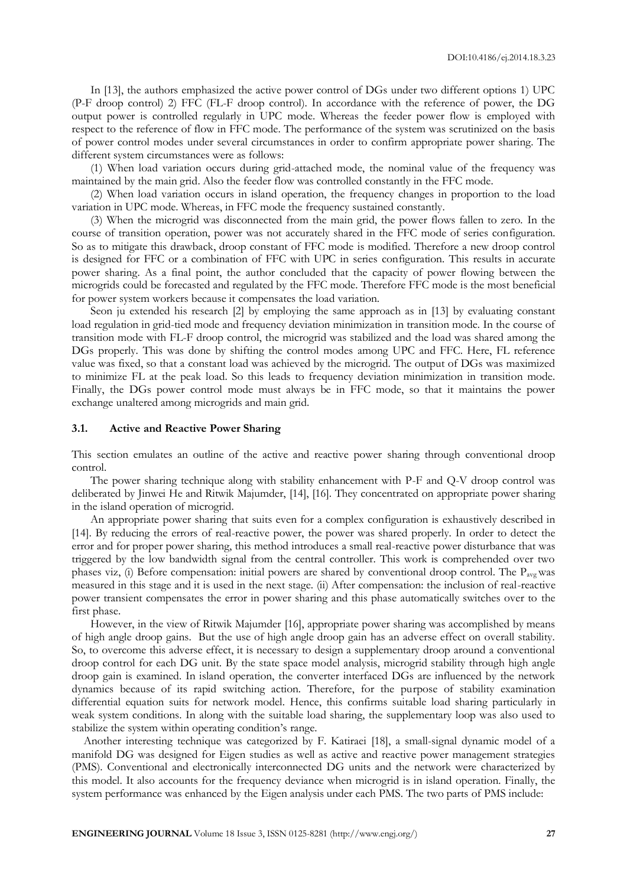In [13], the authors emphasized the active power control of DGs under two different options 1) UPC (P-F droop control) 2) FFC (FL-F droop control). In accordance with the reference of power, the DG output power is controlled regularly in UPC mode. Whereas the feeder power flow is employed with respect to the reference of flow in FFC mode. The performance of the system was scrutinized on the basis of power control modes under several circumstances in order to confirm appropriate power sharing. The different system circumstances were as follows:

(1) When load variation occurs during grid-attached mode, the nominal value of the frequency was maintained by the main grid. Also the feeder flow was controlled constantly in the FFC mode.

(2) When load variation occurs in island operation, the frequency changes in proportion to the load variation in UPC mode. Whereas, in FFC mode the frequency sustained constantly.

(3) When the microgrid was disconnected from the main grid, the power flows fallen to zero. In the course of transition operation, power was not accurately shared in the FFC mode of series configuration. So as to mitigate this drawback, droop constant of FFC mode is modified. Therefore a new droop control is designed for FFC or a combination of FFC with UPC in series configuration. This results in accurate power sharing. As a final point, the author concluded that the capacity of power flowing between the microgrids could be forecasted and regulated by the FFC mode. Therefore FFC mode is the most beneficial for power system workers because it compensates the load variation.

Seon ju extended his research [2] by employing the same approach as in [13] by evaluating constant load regulation in grid-tied mode and frequency deviation minimization in transition mode. In the course of transition mode with FL-F droop control, the microgrid was stabilized and the load was shared among the DGs properly. This was done by shifting the control modes among UPC and FFC. Here, FL reference value was fixed, so that a constant load was achieved by the microgrid. The output of DGs was maximized to minimize FL at the peak load. So this leads to frequency deviation minimization in transition mode. Finally, the DGs power control mode must always be in FFC mode, so that it maintains the power exchange unaltered among microgrids and main grid.

#### **3.1. Active and Reactive Power Sharing**

This section emulates an outline of the active and reactive power sharing through conventional droop control.

The power sharing technique along with stability enhancement with P-F and Q-V droop control was deliberated by Jinwei He and Ritwik Majumder, [14], [16]. They concentrated on appropriate power sharing in the island operation of microgrid.

An appropriate power sharing that suits even for a complex configuration is exhaustively described in [14]. By reducing the errors of real-reactive power, the power was shared properly. In order to detect the error and for proper power sharing, this method introduces a small real-reactive power disturbance that was triggered by the low bandwidth signal from the central controller. This work is comprehended over two phases viz, (i) Before compensation: initial powers are shared by conventional droop control. The  $P_{\text{ave}}$  was measured in this stage and it is used in the next stage. (ii) After compensation: the inclusion of real-reactive power transient compensates the error in power sharing and this phase automatically switches over to the first phase.

However, in the view of Ritwik Majumder [16], appropriate power sharing was accomplished by means of high angle droop gains. But the use of high angle droop gain has an adverse effect on overall stability. So, to overcome this adverse effect, it is necessary to design a supplementary droop around a conventional droop control for each DG unit. By the state space model analysis, microgrid stability through high angle droop gain is examined. In island operation, the converter interfaced DGs are influenced by the network dynamics because of its rapid switching action. Therefore, for the purpose of stability examination differential equation suits for network model. Hence, this confirms suitable load sharing particularly in weak system conditions. In along with the suitable load sharing, the supplementary loop was also used to stabilize the system within operating condition's range.

Another interesting technique was categorized by F. Katiraei [18], a small-signal dynamic model of a manifold DG was designed for Eigen studies as well as active and reactive power management strategies (PMS). Conventional and electronically interconnected DG units and the network were characterized by this model. It also accounts for the frequency deviance when microgrid is in island operation. Finally, the system performance was enhanced by the Eigen analysis under each PMS. The two parts of PMS include: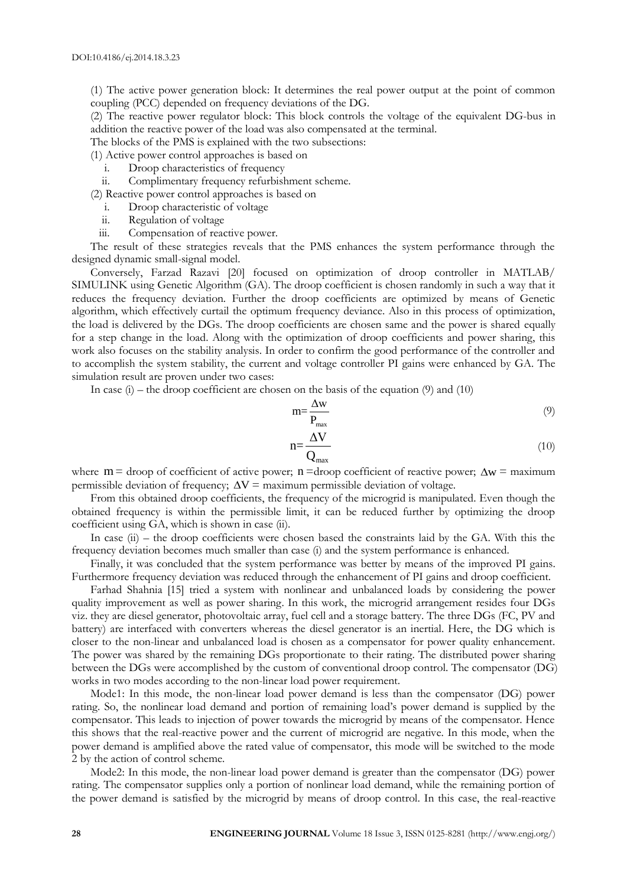(1) The active power generation block: It determines the real power output at the point of common coupling (PCC) depended on frequency deviations of the DG.

(2) The reactive power regulator block: This block controls the voltage of the equivalent DG-bus in addition the reactive power of the load was also compensated at the terminal.

The blocks of the PMS is explained with the two subsections:

(1) Active power control approaches is based on

i. Droop characteristics of frequency

ii. Complimentary frequency refurbishment scheme.

(2) Reactive power control approaches is based on

- i. Droop characteristic of voltage
- ii. Regulation of voltage
- iii. Compensation of reactive power.

The result of these strategies reveals that the PMS enhances the system performance through the designed dynamic small-signal model.

Conversely, Farzad Razavi [20] focused on optimization of droop controller in MATLAB/ SIMULINK using Genetic Algorithm (GA). The droop coefficient is chosen randomly in such a way that it reduces the frequency deviation. Further the droop coefficients are optimized by means of Genetic algorithm, which effectively curtail the optimum frequency deviance. Also in this process of optimization, the load is delivered by the DGs. The droop coefficients are chosen same and the power is shared equally for a step change in the load. Along with the optimization of droop coefficients and power sharing, this work also focuses on the stability analysis. In order to confirm the good performance of the controller and to accomplish the system stability, the current and voltage controller PI gains were enhanced by GA. The simulation result are proven under two cases:

In case  $(i)$  – the droop coefficient are chosen on the basis of the equation (9) and (10)

$$
m = \frac{\Delta w}{P_{\text{max}}} \tag{9}
$$

$$
n = \frac{\Delta V}{Q_{\text{max}}}
$$
 (10)

where  $m =$  droop of coefficient of active power;  $n =$  droop coefficient of reactive power;  $\Delta w =$  maximum permissible deviation of frequency;  $\Delta V =$  maximum permissible deviation of voltage.

From this obtained droop coefficients, the frequency of the microgrid is manipulated. Even though the obtained frequency is within the permissible limit, it can be reduced further by optimizing the droop coefficient using GA, which is shown in case (ii).

In case (ii) – the droop coefficients were chosen based the constraints laid by the GA. With this the frequency deviation becomes much smaller than case (i) and the system performance is enhanced.

Finally, it was concluded that the system performance was better by means of the improved PI gains. Furthermore frequency deviation was reduced through the enhancement of PI gains and droop coefficient.

Farhad Shahnia [15] tried a system with nonlinear and unbalanced loads by considering the power quality improvement as well as power sharing. In this work, the microgrid arrangement resides four DGs viz. they are diesel generator, photovoltaic array, fuel cell and a storage battery. The three DGs (FC, PV and battery) are interfaced with converters whereas the diesel generator is an inertial. Here, the DG which is closer to the non-linear and unbalanced load is chosen as a compensator for power quality enhancement. The power was shared by the remaining DGs proportionate to their rating. The distributed power sharing between the DGs were accomplished by the custom of conventional droop control. The compensator (DG) works in two modes according to the non-linear load power requirement.

Mode1: In this mode, the non-linear load power demand is less than the compensator (DG) power rating. So, the nonlinear load demand and portion of remaining load's power demand is supplied by the compensator. This leads to injection of power towards the microgrid by means of the compensator. Hence this shows that the real-reactive power and the current of microgrid are negative. In this mode, when the power demand is amplified above the rated value of compensator, this mode will be switched to the mode 2 by the action of control scheme.

Mode2: In this mode, the non-linear load power demand is greater than the compensator (DG) power rating. The compensator supplies only a portion of nonlinear load demand, while the remaining portion of the power demand is satisfied by the microgrid by means of droop control. In this case, the real-reactive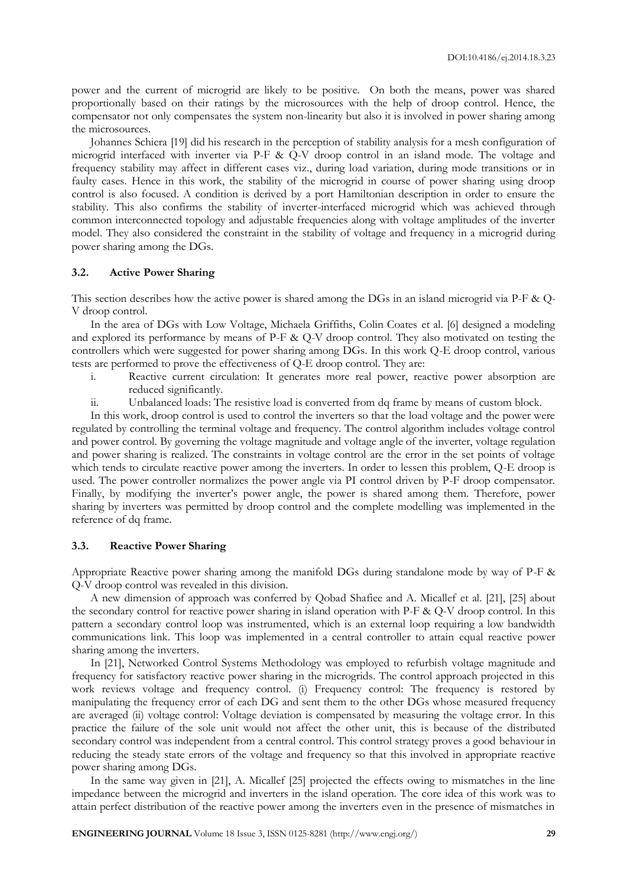power and the current of microgrid are likely to be positive. On both the means, power was shared proportionally based on their ratings by the microsources with the help of droop control. Hence, the compensator not only compensates the system non-linearity but also it is involved in power sharing among the microsources.

Johannes Schiera [19] did his research in the perception of stability analysis for a mesh configuration of microgrid interfaced with inverter via P-F & Q-V droop control in an island mode. The voltage and frequency stability may affect in different cases viz., during load variation, during mode transitions or in faulty cases. Hence in this work, the stability of the microgrid in course of power sharing using droop control is also focused. A condition is derived by a port Hamiltonian description in order to ensure the stability. This also confirms the stability of inverter-interfaced microgrid which was achieved through common interconnected topology and adjustable frequencies along with voltage amplitudes of the inverter model. They also considered the constraint in the stability of voltage and frequency in a microgrid during power sharing among the DGs.

#### **3.2. Active Power Sharing**

This section describes how the active power is shared among the DGs in an island microgrid via P-F & Q-V droop control.

In the area of DGs with Low Voltage, Michaela Griffiths, Colin Coates et al. [6] designed a modeling and explored its performance by means of P-F & Q-V droop control. They also motivated on testing the controllers which were suggested for power sharing among DGs. In this work Q-E droop control, various tests are performed to prove the effectiveness of Q-E droop control. They are:

- i. Reactive current circulation: It generates more real power, reactive power absorption are reduced significantly.
- ii. Unbalanced loads: The resistive load is converted from dq frame by means of custom block.

In this work, droop control is used to control the inverters so that the load voltage and the power were regulated by controlling the terminal voltage and frequency. The control algorithm includes voltage control and power control. By governing the voltage magnitude and voltage angle of the inverter, voltage regulation and power sharing is realized. The constraints in voltage control are the error in the set points of voltage which tends to circulate reactive power among the inverters. In order to lessen this problem, Q-E droop is used. The power controller normalizes the power angle via PI control driven by P-F droop compensator. Finally, by modifying the inverter's power angle, the power is shared among them. Therefore, power sharing by inverters was permitted by droop control and the complete modelling was implemented in the reference of dq frame.

#### **3.3. Reactive Power Sharing**

Appropriate Reactive power sharing among the manifold DGs during standalone mode by way of P-F & Q-V droop control was revealed in this division.

A new dimension of approach was conferred by Qobad Shafiee and A. Micallef et al. [21], [25] about the secondary control for reactive power sharing in island operation with P-F & Q-V droop control. In this pattern a secondary control loop was instrumented, which is an external loop requiring a low bandwidth communications link. This loop was implemented in a central controller to attain equal reactive power sharing among the inverters.

In [21], Networked Control Systems Methodology was employed to refurbish voltage magnitude and frequency for satisfactory reactive power sharing in the microgrids. The control approach projected in this work reviews voltage and frequency control. (i) Frequency control: The frequency is restored by manipulating the frequency error of each DG and sent them to the other DGs whose measured frequency are averaged (ii) voltage control: Voltage deviation is compensated by measuring the voltage error. In this practice the failure of the sole unit would not affect the other unit, this is because of the distributed secondary control was independent from a central control. This control strategy proves a good behaviour in reducing the steady state errors of the voltage and frequency so that this involved in appropriate reactive power sharing among DGs.

In the same way given in [21], A. Micallef [25] projected the effects owing to mismatches in the line impedance between the microgrid and inverters in the island operation. The core idea of this work was to attain perfect distribution of the reactive power among the inverters even in the presence of mismatches in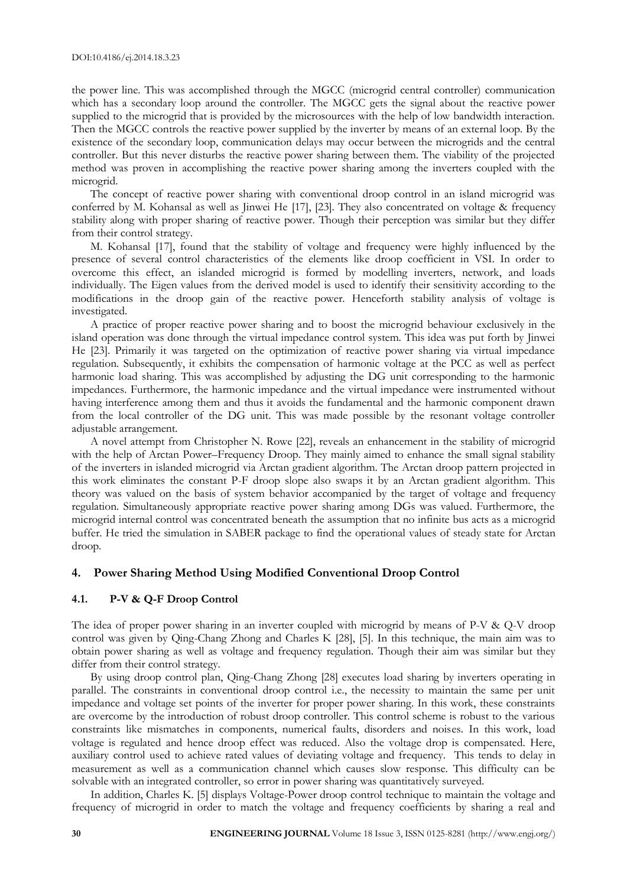the power line. This was accomplished through the MGCC (microgrid central controller) communication which has a secondary loop around the controller. The MGCC gets the signal about the reactive power supplied to the microgrid that is provided by the microsources with the help of low bandwidth interaction. Then the MGCC controls the reactive power supplied by the inverter by means of an external loop. By the existence of the secondary loop, communication delays may occur between the microgrids and the central controller. But this never disturbs the reactive power sharing between them. The viability of the projected method was proven in accomplishing the reactive power sharing among the inverters coupled with the microgrid.

The concept of reactive power sharing with conventional droop control in an island microgrid was conferred by M. Kohansal as well as Jinwei He [17], [23]. They also concentrated on voltage & frequency stability along with proper sharing of reactive power. Though their perception was similar but they differ from their control strategy.

M. Kohansal [17], found that the stability of voltage and frequency were highly influenced by the presence of several control characteristics of the elements like droop coefficient in VSI. In order to overcome this effect, an islanded microgrid is formed by modelling inverters, network, and loads individually. The Eigen values from the derived model is used to identify their sensitivity according to the modifications in the droop gain of the reactive power. Henceforth stability analysis of voltage is investigated.

A practice of proper reactive power sharing and to boost the microgrid behaviour exclusively in the island operation was done through the virtual impedance control system. This idea was put forth by Jinwei He [23]. Primarily it was targeted on the optimization of reactive power sharing via virtual impedance regulation. Subsequently, it exhibits the compensation of harmonic voltage at the PCC as well as perfect harmonic load sharing. This was accomplished by adjusting the DG unit corresponding to the harmonic impedances. Furthermore, the harmonic impedance and the virtual impedance were instrumented without having interference among them and thus it avoids the fundamental and the harmonic component drawn from the local controller of the DG unit. This was made possible by the resonant voltage controller adjustable arrangement.

A novel attempt from Christopher N. Rowe [22], reveals an enhancement in the stability of microgrid with the help of Arctan Power–Frequency Droop. They mainly aimed to enhance the small signal stability of the inverters in islanded microgrid via Arctan gradient algorithm. The Arctan droop pattern projected in this work eliminates the constant P-F droop slope also swaps it by an Arctan gradient algorithm. This theory was valued on the basis of system behavior accompanied by the target of voltage and frequency regulation. Simultaneously appropriate reactive power sharing among DGs was valued. Furthermore, the microgrid internal control was concentrated beneath the assumption that no infinite bus acts as a microgrid buffer. He tried the simulation in SABER package to find the operational values of steady state for Arctan droop.

#### **4. Power Sharing Method Using Modified Conventional Droop Control**

#### **4.1. P-V & Q-F Droop Control**

The idea of proper power sharing in an inverter coupled with microgrid by means of P-V & Q-V droop control was given by Qing-Chang Zhong and Charles K [28], [5]. In this technique, the main aim was to obtain power sharing as well as voltage and frequency regulation. Though their aim was similar but they differ from their control strategy.

By using droop control plan, Qing-Chang Zhong [28] executes load sharing by inverters operating in parallel. The constraints in conventional droop control i.e., the necessity to maintain the same per unit impedance and voltage set points of the inverter for proper power sharing. In this work, these constraints are overcome by the introduction of robust droop controller. This control scheme is robust to the various constraints like mismatches in components, numerical faults, disorders and noises. In this work, load voltage is regulated and hence droop effect was reduced. Also the voltage drop is compensated. Here, auxiliary control used to achieve rated values of deviating voltage and frequency. This tends to delay in measurement as well as a communication channel which causes slow response. This difficulty can be solvable with an integrated controller, so error in power sharing was quantitatively surveyed.

In addition, Charles K. [5] displays Voltage-Power droop control technique to maintain the voltage and frequency of microgrid in order to match the voltage and frequency coefficients by sharing a real and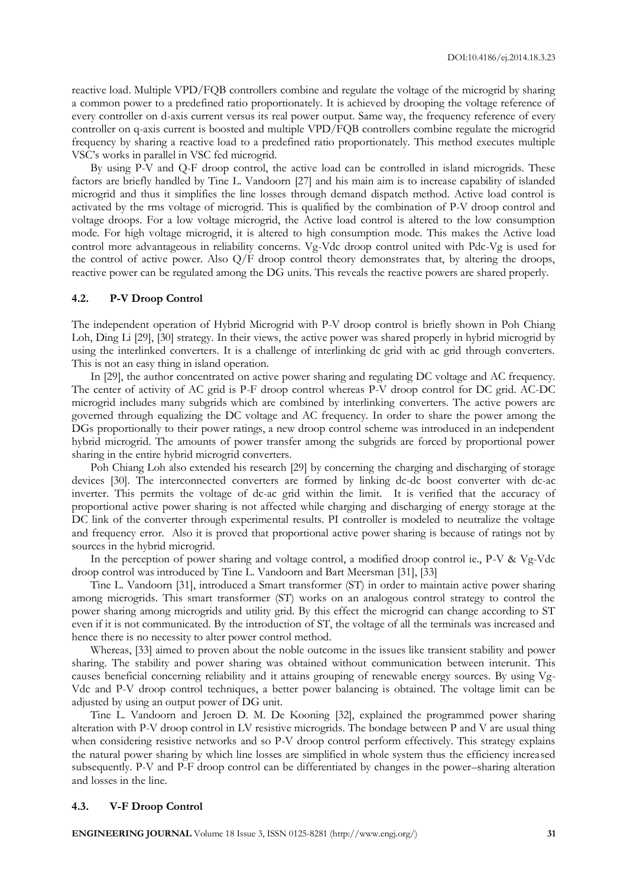reactive load. Multiple VPD/FQB controllers combine and regulate the voltage of the microgrid by sharing a common power to a predefined ratio proportionately. It is achieved by drooping the voltage reference of every controller on d-axis current versus its real power output. Same way, the frequency reference of every controller on q-axis current is boosted and multiple VPD/FQB controllers combine regulate the microgrid frequency by sharing a reactive load to a predefined ratio proportionately. This method executes multiple VSC's works in parallel in VSC fed microgrid.

By using P-V and Q-F droop control, the active load can be controlled in island microgrids. These factors are briefly handled by Tine L. Vandoorn [27] and his main aim is to increase capability of islanded microgrid and thus it simplifies the line losses through demand dispatch method. Active load control is activated by the rms voltage of microgrid. This is qualified by the combination of P-V droop control and voltage droops. For a low voltage microgrid, the Active load control is altered to the low consumption mode. For high voltage microgrid, it is altered to high consumption mode. This makes the Active load control more advantageous in reliability concerns. Vg-Vdc droop control united with Pdc-Vg is used for the control of active power. Also Q/F droop control theory demonstrates that, by altering the droops, reactive power can be regulated among the DG units. This reveals the reactive powers are shared properly.

#### **4.2. P-V Droop Control**

The independent operation of Hybrid Microgrid with P-V droop control is briefly shown in Poh Chiang Loh, Ding Li [29], [30] strategy. In their views, the active power was shared properly in hybrid microgrid by using the interlinked converters. It is a challenge of interlinking dc grid with ac grid through converters. This is not an easy thing in island operation.

In [29], the author concentrated on active power sharing and regulating DC voltage and AC frequency. The center of activity of AC grid is P-F droop control whereas P-V droop control for DC grid. AC-DC microgrid includes many subgrids which are combined by interlinking converters. The active powers are governed through equalizing the DC voltage and AC frequency. In order to share the power among the DGs proportionally to their power ratings, a new droop control scheme was introduced in an independent hybrid microgrid. The amounts of power transfer among the subgrids are forced by proportional power sharing in the entire hybrid microgrid converters.

Poh Chiang Loh also extended his research [29] by concerning the charging and discharging of storage devices [30]. The interconnected converters are formed by linking dc-dc boost converter with dc-ac inverter. This permits the voltage of dc-ac grid within the limit. It is verified that the accuracy of proportional active power sharing is not affected while charging and discharging of energy storage at the DC link of the converter through experimental results. PI controller is modeled to neutralize the voltage and frequency error. Also it is proved that proportional active power sharing is because of ratings not by sources in the hybrid microgrid.

In the perception of power sharing and voltage control, a modified droop control ie., P-V & Vg-Vdc droop control was introduced by Tine L. Vandoorn and Bart Meersman [31], [33]

Tine L. Vandoorn [31], introduced a Smart transformer (ST) in order to maintain active power sharing among microgrids. This smart transformer (ST) works on an analogous control strategy to control the power sharing among microgrids and utility grid. By this effect the microgrid can change according to ST even if it is not communicated. By the introduction of ST, the voltage of all the terminals was increased and hence there is no necessity to alter power control method.

Whereas, [33] aimed to proven about the noble outcome in the issues like transient stability and power sharing. The stability and power sharing was obtained without communication between interunit. This causes beneficial concerning reliability and it attains grouping of renewable energy sources. By using Vg-Vdc and P-V droop control techniques, a better power balancing is obtained. The voltage limit can be adjusted by using an output power of DG unit.

Tine L. Vandoorn and Jeroen D. M. De Kooning [32], explained the programmed power sharing alteration with P-V droop control in LV resistive microgrids. The bondage between P and V are usual thing when considering resistive networks and so P-V droop control perform effectively. This strategy explains the natural power sharing by which line losses are simplified in whole system thus the efficiency increased subsequently. P-V and P-F droop control can be differentiated by changes in the power–sharing alteration and losses in the line.

#### **4.3. V-F Droop Control**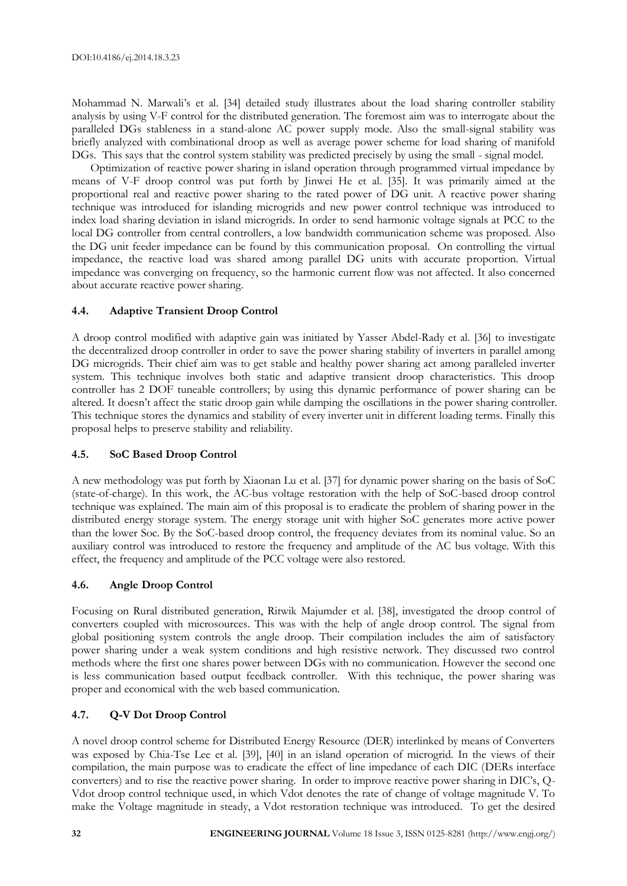Mohammad N. Marwali's et al. [34] detailed study illustrates about the load sharing controller stability analysis by using V-F control for the distributed generation. The foremost aim was to interrogate about the paralleled DGs stableness in a stand-alone AC power supply mode. Also the small-signal stability was briefly analyzed with combinational droop as well as average power scheme for load sharing of manifold DGs. This says that the control system stability was predicted precisely by using the small - signal model.

Optimization of reactive power sharing in island operation through programmed virtual impedance by means of V-F droop control was put forth by Jinwei He et al. [35]. It was primarily aimed at the proportional real and reactive power sharing to the rated power of DG unit. A reactive power sharing technique was introduced for islanding microgrids and new power control technique was introduced to index load sharing deviation in island microgrids. In order to send harmonic voltage signals at PCC to the local DG controller from central controllers, a low bandwidth communication scheme was proposed. Also the DG unit feeder impedance can be found by this communication proposal. On controlling the virtual impedance, the reactive load was shared among parallel DG units with accurate proportion. Virtual impedance was converging on frequency, so the harmonic current flow was not affected. It also concerned about accurate reactive power sharing.

#### **4.4. Adaptive Transient Droop Control**

A droop control modified with adaptive gain was initiated by Yasser Abdel-Rady et al. [36] to investigate the decentralized droop controller in order to save the power sharing stability of inverters in parallel among DG microgrids. Their chief aim was to get stable and healthy power sharing act among paralleled inverter system. This technique involves both static and adaptive transient droop characteristics. This droop controller has 2 DOF tuneable controllers; by using this dynamic performance of power sharing can be altered. It doesn't affect the static droop gain while damping the oscillations in the power sharing controller. This technique stores the dynamics and stability of every inverter unit in different loading terms. Finally this proposal helps to preserve stability and reliability.

#### **4.5. SoC Based Droop Control**

A new methodology was put forth by Xiaonan Lu et al. [37] for dynamic power sharing on the basis of SoC (state-of-charge). In this work, the AC-bus voltage restoration with the help of SoC-based droop control technique was explained. The main aim of this proposal is to eradicate the problem of sharing power in the distributed energy storage system. The energy storage unit with higher SoC generates more active power than the lower Soc. By the SoC-based droop control, the frequency deviates from its nominal value. So an auxiliary control was introduced to restore the frequency and amplitude of the AC bus voltage. With this effect, the frequency and amplitude of the PCC voltage were also restored.

# **4.6. Angle Droop Control**

Focusing on Rural distributed generation, Ritwik Majumder et al. [38], investigated the droop control of converters coupled with microsources. This was with the help of angle droop control. The signal from global positioning system controls the angle droop. Their compilation includes the aim of satisfactory power sharing under a weak system conditions and high resistive network. They discussed two control methods where the first one shares power between DGs with no communication. However the second one is less communication based output feedback controller. With this technique, the power sharing was proper and economical with the web based communication.

# **4.7. Q-V Dot Droop Control**

A novel droop control scheme for Distributed Energy Resource (DER) interlinked by means of Converters was exposed by Chia-Tse Lee et al. [39], [40] in an island operation of microgrid. In the views of their compilation, the main purpose was to eradicate the effect of line impedance of each DIC (DERs interface converters) and to rise the reactive power sharing. In order to improve reactive power sharing in DIC's, Q-Vdot droop control technique used, in which Vdot denotes the rate of change of voltage magnitude V. To make the Voltage magnitude in steady, a Vdot restoration technique was introduced. To get the desired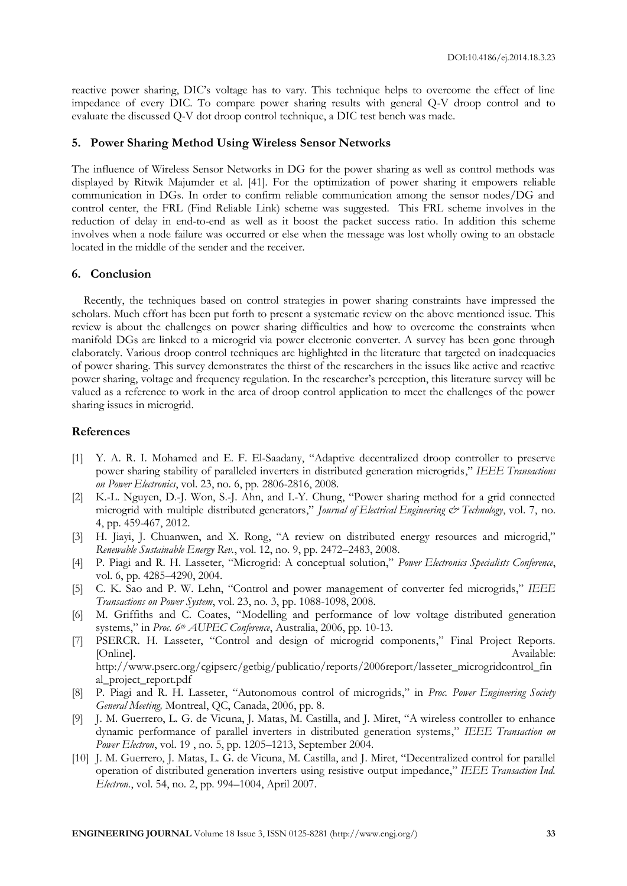reactive power sharing, DIC's voltage has to vary. This technique helps to overcome the effect of line impedance of every DIC. To compare power sharing results with general Q-V droop control and to evaluate the discussed Q-V dot droop control technique, a DIC test bench was made.

#### **5. Power Sharing Method Using Wireless Sensor Networks**

The influence of Wireless Sensor Networks in DG for the power sharing as well as control methods was displayed by Ritwik Majumder et al. [41]. For the optimization of power sharing it empowers reliable communication in DGs. In order to confirm reliable communication among the sensor nodes/DG and control center, the FRL (Find Reliable Link) scheme was suggested. This FRL scheme involves in the reduction of delay in end-to-end as well as it boost the packet success ratio. In addition this scheme involves when a node failure was occurred or else when the message was lost wholly owing to an obstacle located in the middle of the sender and the receiver.

#### **6. Conclusion**

Recently, the techniques based on control strategies in power sharing constraints have impressed the scholars. Much effort has been put forth to present a systematic review on the above mentioned issue. This review is about the challenges on power sharing difficulties and how to overcome the constraints when manifold DGs are linked to a microgrid via power electronic converter. A survey has been gone through elaborately. Various droop control techniques are highlighted in the literature that targeted on inadequacies of power sharing. This survey demonstrates the thirst of the researchers in the issues like active and reactive power sharing, voltage and frequency regulation. In the researcher's perception, this literature survey will be valued as a reference to work in the area of droop control application to meet the challenges of the power sharing issues in microgrid.

# **References**

- [1] Y. A. R. I. Mohamed and E. F. El-Saadany, "Adaptive decentralized droop controller to preserve power sharing stability of paralleled inverters in distributed generation microgrids," *IEEE Transactions on Power Electronics*, vol. 23, no. 6, pp. 2806-2816, 2008*.*
- [2] K.-L. Nguyen, D.-J. Won, S.-J. Ahn, and I.-Y. Chung, "Power sharing method for a grid connected microgrid with multiple distributed generators," *Journal of Electrical Engineering & Technology*, vol. 7, no. 4, pp. 459-467, 2012.
- [3] H. Jiayi, J. Chuanwen, and X. Rong, "A review on distributed energy resources and microgrid," *Renewable Sustainable Energy Rev.*, vol. 12, no. 9, pp. 2472–2483, 2008.
- [4] P. Piagi and R. H. Lasseter, "Microgrid: A conceptual solution," *Power Electronics Specialists Conference*, vol. 6, pp. 4285–4290, 2004.
- [5] C. K. Sao and P. W. Lehn, "Control and power management of converter fed microgrids," *IEEE Transactions on Power System*, vol. 23, no. 3, pp. 1088-1098, 2008*.*
- [6] M. Griffiths and C. Coates, "Modelling and performance of low voltage distributed generation systems," in *Proc. 6th AUPEC Conference*, Australia, 2006, pp. 10-13.
- [7] PSERCR. H. Lasseter, "Control and design of microgrid components," Final Project Reports. [Online]. Available: http://www.pserc.org/cgipserc/getbig/publicatio/reports/2006report/lasseter\_microgridcontrol\_fin

al\_project\_report.pdf

- [8] P. Piagi and R. H. Lasseter, "Autonomous control of microgrids," in *Proc. Power Engineering Society General Meeting,* Montreal, QC, Canada, 2006, pp. 8.
- [9] J. M. Guerrero, L. G. de Vicuna, J. Matas, M. Castilla, and J. Miret, "A wireless controller to enhance dynamic performance of parallel inverters in distributed generation systems," *IEEE Transaction on Power Electron*, vol. 19 , no. 5, pp. 1205–1213, September 2004.
- [10] J. M. Guerrero, J. Matas, L. G. de Vicuna, M. Castilla, and J. Miret, "Decentralized control for parallel operation of distributed generation inverters using resistive output impedance," *IEEE Transaction Ind. Electron.*, vol. 54, no. 2, pp. 994–1004, April 2007.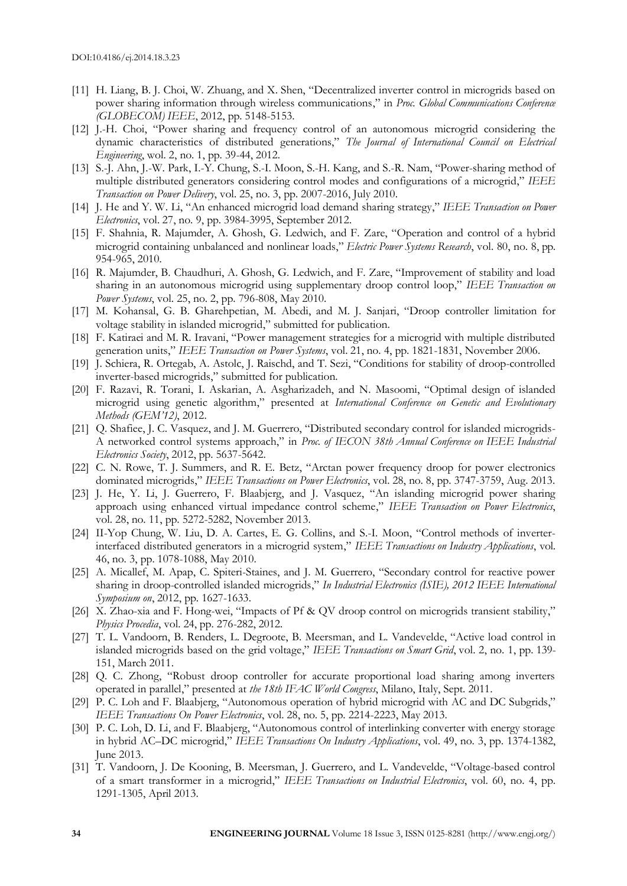- [11] H. Liang, B. J. Choi, W. Zhuang, and X. Shen, "Decentralized inverter control in microgrids based on power sharing information through wireless communications," in *Proc. Global Communications Conference (GLOBECOM) IEEE*, 2012, pp. 5148-5153.
- [12] J.-H. Choi, "Power sharing and frequency control of an autonomous microgrid considering the dynamic characteristics of distributed generations," *The Journal of International Council on Electrical Engineering*, wol. 2, no. 1, pp. 39-44, 2012*.*
- [13] S.-J. Ahn, J.-W. Park, I.-Y. Chung, S.-I. Moon, S.-H. Kang, and S.-R. Nam, "Power-sharing method of multiple distributed generators considering control modes and configurations of a microgrid," *IEEE Transaction on Power Delivery*, vol. 25, no. 3, pp. 2007-2016, July 2010.
- [14] J. He and Y. W. Li, "An enhanced microgrid load demand sharing strategy," *IEEE Transaction on Power Electronics*, vol. 27, no. 9, pp. 3984-3995, September 2012.
- [15] F. Shahnia, R. Majumder, A. Ghosh, G. Ledwich, and F. Zare, "Operation and control of a hybrid microgrid containing unbalanced and nonlinear loads," *Electric Power Systems Research*, vol. 80, no. 8, pp. 954-965, 2010*.*
- [16] R. Majumder, B. Chaudhuri, A. Ghosh, G. Ledwich, and F. Zare, "Improvement of stability and load sharing in an autonomous microgrid using supplementary droop control loop," *IEEE Transaction on Power Systems*, vol. 25, no. 2, pp. 796-808, May 2010.
- [17] M. Kohansal, G. B. Gharehpetian, M. Abedi, and M. J. Sanjari, "Droop controller limitation for voltage stability in islanded microgrid," submitted for publication.
- [18] F. Katiraei and M. R. Iravani, "Power management strategies for a microgrid with multiple distributed generation units," *IEEE Transaction on Power Systems*, vol. 21, no. 4, pp. 1821-1831, November 2006*.*
- [19] J. Schiera, R. Ortegab, A. Astolc, J. Raischd, and T. Sezi, "Conditions for stability of droop-controlled inverter-based microgrids," submitted for publication.
- [20] F. Razavi, R. Torani, I. Askarian, A. Asgharizadeh, and N. Masoomi, "Optimal design of islanded microgrid using genetic algorithm," presented at *International Conference on Genetic and Evolutionary Methods (GEM'12)*, 2012.
- [21] Q. Shafiee, J. C. Vasquez, and J. M. Guerrero, "Distributed secondary control for islanded microgrids-A networked control systems approach," in *Proc. of IECON 38th Annual Conference on IEEE Industrial Electronics Society*, 2012, pp. 5637-5642.
- [22] C. N. Rowe, T. J. Summers, and R. E. Betz, "Arctan power frequency droop for power electronics dominated microgrids," *IEEE Transactions on Power Electronics*, vol. 28, no. 8, pp. 3747-3759, Aug. 2013.
- [23] J. He, Y. Li, J. Guerrero, F. Blaabjerg, and J. Vasquez, "An islanding microgrid power sharing approach using enhanced virtual impedance control scheme," *IEEE Transaction on Power Electronics*, vol. 28, no. 11, pp. 5272-5282, November 2013.
- [24] II-Yop Chung, W. Liu, D. A. Cartes, E. G. Collins, and S.-I. Moon, "Control methods of inverterinterfaced distributed generators in a microgrid system," *IEEE Transactions on Industry Applications*, vol. 46, no. 3, pp. 1078-1088, May 2010.
- [25] A. Micallef, M. Apap, C. Spiteri-Staines, and J. M. Guerrero, "Secondary control for reactive power sharing in droop-controlled islanded microgrids," *In Industrial Electronics (ISIE), 2012 IEEE International Symposium on*, 2012, pp. 1627-1633.
- [26] X. Zhao-xia and F. Hong-wei, "Impacts of Pf & QV droop control on microgrids transient stability," *Physics Procedia*, vol. 24, pp. 276-282, 2012*.*
- [27] T. L. Vandoorn, B. Renders, L. Degroote, B. Meersman, and L. Vandevelde, "Active load control in islanded microgrids based on the grid voltage," *IEEE Transactions on Smart Grid*, vol. 2, no. 1, pp. 139- 151, March 2011.
- [28] Q. C. Zhong, "Robust droop controller for accurate proportional load sharing among inverters operated in parallel," presented at *the 18th IFAC World Congress*, Milano, Italy, Sept. 2011.
- [29] P. C. Loh and F. Blaabjerg, "Autonomous operation of hybrid microgrid with AC and DC Subgrids," *IEEE Transactions On Power Electronics*, vol. 28, no. 5, pp. 2214-2223, May 2013.
- [30] P. C. Loh, D. Li, and F. Blaabjerg, "Autonomous control of interlinking converter with energy storage in hybrid AC–DC microgrid," *IEEE Transactions On Industry Applications*, vol. 49, no. 3, pp. 1374-1382, June 2013.
- [31] T. Vandoorn, J. De Kooning, B. Meersman, J. Guerrero, and L. Vandevelde, "Voltage-based control of a smart transformer in a microgrid," *IEEE Transactions on Industrial Electronics*, vol. 60, no. 4, pp. 1291-1305, April 2013.